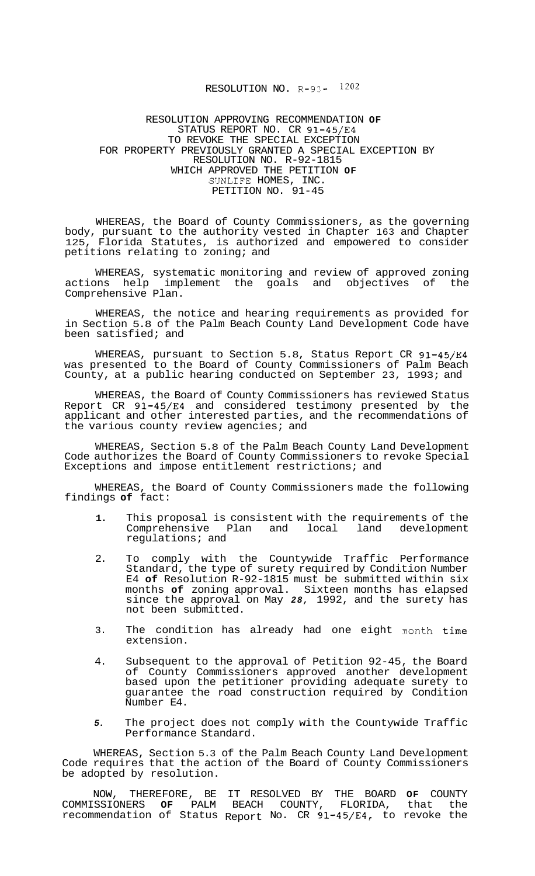## RESOLUTION NO. R-93- I2O2

## RESOLUTION APPROVING RECOMMENDATION **OF**  STATUS REPORT NO. CR 91-45/E4 FOR PROPERTY PREVIOUSLY GRANTED A SPECIAL EXCEPTION BY RESOLUTION NO. R-92-1815 WHICH APPROVED THE PETITION **OF**  SUNLIFE HOMES, INC. PETITION NO. 91-45 TO REVOKE THE SPECIAL EXCEPTION

WHEREAS, the Board of County Commissioners, as the governing body, pursuant to the authority vested in Chapter 163 and Chapter 125, Florida Statutes, is authorized and empowered to consider petitions relating to zoning; and

WHEREAS, systematic monitoring and review of approved zoning actions help implement the goals and objectives of Comprehensive Plan.

WHEREAS, the notice and hearing requirements as provided for in Section 5.8 of the Palm Beach County Land Development Code have been satisfied; and

WHEREAS, pursuant to Section 5.8, Status Report CR 91-45/E4 was presented to the Board of County Commissioners of Palm Beach County, at a public hearing conducted on September 23, 1993; and

WHEREAS, the Board of County Commissioners has reviewed Status Report CR 91-45/E4 and considered testimony presented by the applicant and other interested parties, and the recommendations of the various county review agencies; and

WHEREAS, Section 5.8 of the Palm Beach County Land Development Code authorizes the Board of County Commissioners to revoke Special Exceptions and impose entitlement restrictions; and

WHEREAS, the Board of County Commissioners made the following findings **of** fact:

- **1.**  This proposal is consistent with the requirements of the<br>Comprehensive Plan and local land development Comprehensive Plan and regulations; and
- 2. To comply with the Countywide Traffic Performance Standard, the type of surety required by Condition Number E4 **of** Resolution R-92-1815 must be submitted within six months **of** zoning approval. Sixteen months has elapsed since the approval on May *28,* 1992, and the surety has not been submitted.
- 3. The condition has already had one eight month time extension.
- 4. Subsequent to the approval of Petition 92-45, the Board of County Commissioners approved another development based upon the petitioner providing adequate surety to guarantee the road construction required by Condition Number E4.
- *5.*  The project does not comply with the Countywide Traffic Performance Standard.

WHEREAS, Section 5.3 of the Palm Beach County Land Development Code requires that the action of the Board of County Commissioners be adopted by resolution.

NOW, THEREFORE, BE IT RESOLVED BY THE BOARD **OF** COUNTY COMMISSIONERS **OF** PALM BEACH COUNTY, FLORIDA, that the recommendation of Status Report No. CR 91-45/E4, to revoke the